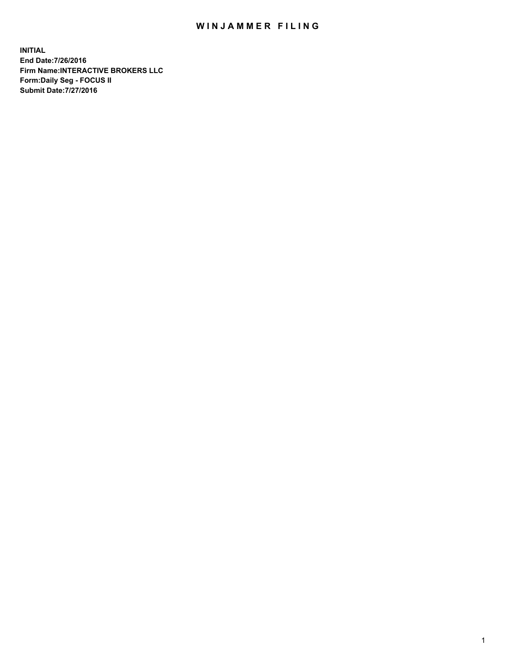## WIN JAMMER FILING

**INITIAL End Date:7/26/2016 Firm Name:INTERACTIVE BROKERS LLC Form:Daily Seg - FOCUS II Submit Date:7/27/2016**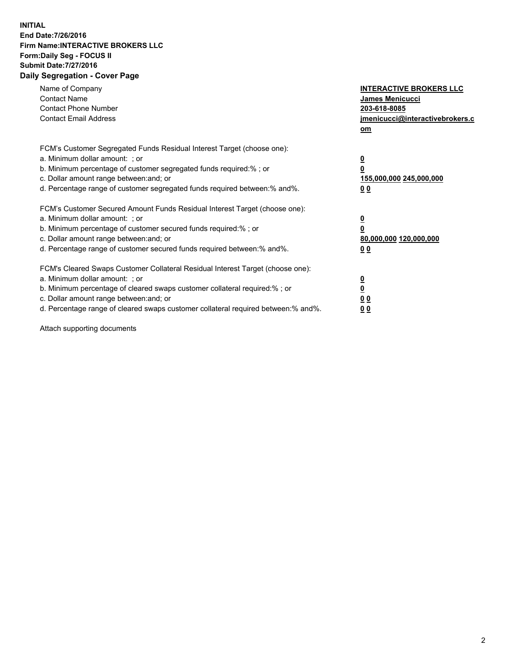## **INITIAL End Date:7/26/2016 Firm Name:INTERACTIVE BROKERS LLC Form:Daily Seg - FOCUS II Submit Date:7/27/2016 Daily Segregation - Cover Page**

| Name of Company<br><b>Contact Name</b><br><b>Contact Phone Number</b><br><b>Contact Email Address</b>                                                                                                                                                                                                                          | <b>INTERACTIVE BROKERS LLC</b><br><b>James Menicucci</b><br>203-618-8085<br>jmenicucci@interactivebrokers.c<br>om |
|--------------------------------------------------------------------------------------------------------------------------------------------------------------------------------------------------------------------------------------------------------------------------------------------------------------------------------|-------------------------------------------------------------------------------------------------------------------|
| FCM's Customer Segregated Funds Residual Interest Target (choose one):<br>a. Minimum dollar amount: ; or<br>b. Minimum percentage of customer segregated funds required:% ; or<br>c. Dollar amount range between: and; or<br>d. Percentage range of customer segregated funds required between:% and%.                         | $\overline{\mathbf{0}}$<br>0<br><u>155,000,000 245,000,000</u><br><u>00</u>                                       |
| FCM's Customer Secured Amount Funds Residual Interest Target (choose one):<br>a. Minimum dollar amount: ; or<br>b. Minimum percentage of customer secured funds required:%; or<br>c. Dollar amount range between: and; or<br>d. Percentage range of customer secured funds required between:% and%.                            | $\overline{\mathbf{0}}$<br>$\overline{\mathbf{0}}$<br>80,000,000 120,000,000<br>00                                |
| FCM's Cleared Swaps Customer Collateral Residual Interest Target (choose one):<br>a. Minimum dollar amount: ; or<br>b. Minimum percentage of cleared swaps customer collateral required:% ; or<br>c. Dollar amount range between: and; or<br>d. Percentage range of cleared swaps customer collateral required between:% and%. | $\underline{\mathbf{0}}$<br>$\underline{\mathbf{0}}$<br>0 <sub>0</sub><br>0 <sub>0</sub>                          |

Attach supporting documents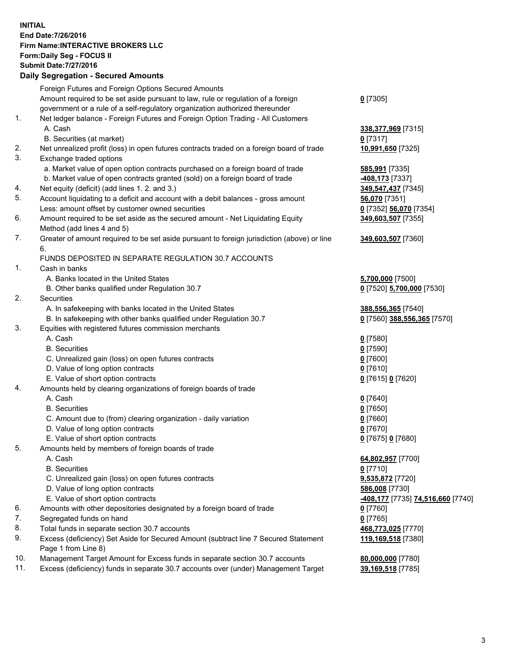## **INITIAL End Date:7/26/2016 Firm Name:INTERACTIVE BROKERS LLC Form:Daily Seg - FOCUS II Submit Date:7/27/2016 Daily Segregation - Secured Amounts**

|     | Dany Ocgregation - Oceanea Amounts                                                          |                                  |
|-----|---------------------------------------------------------------------------------------------|----------------------------------|
|     | Foreign Futures and Foreign Options Secured Amounts                                         |                                  |
|     | Amount required to be set aside pursuant to law, rule or regulation of a foreign            | $0$ [7305]                       |
|     | government or a rule of a self-regulatory organization authorized thereunder                |                                  |
| 1.  | Net ledger balance - Foreign Futures and Foreign Option Trading - All Customers             |                                  |
|     | A. Cash                                                                                     | 338,377,969 [7315]               |
|     | B. Securities (at market)                                                                   | $0$ [7317]                       |
| 2.  |                                                                                             |                                  |
|     | Net unrealized profit (loss) in open futures contracts traded on a foreign board of trade   | 10,991,650 [7325]                |
| 3.  | Exchange traded options                                                                     |                                  |
|     | a. Market value of open option contracts purchased on a foreign board of trade              | 585,991 [7335]                   |
|     | b. Market value of open contracts granted (sold) on a foreign board of trade                | -408,173 [7337]                  |
| 4.  | Net equity (deficit) (add lines 1.2. and 3.)                                                | 349,547,437 [7345]               |
| 5.  | Account liquidating to a deficit and account with a debit balances - gross amount           | 56,070 [7351]                    |
|     | Less: amount offset by customer owned securities                                            | 0 [7352] 56,070 [7354]           |
| 6.  | Amount required to be set aside as the secured amount - Net Liquidating Equity              | 349,603,507 [7355]               |
|     | Method (add lines 4 and 5)                                                                  |                                  |
| 7.  | Greater of amount required to be set aside pursuant to foreign jurisdiction (above) or line | 349,603,507 [7360]               |
|     | 6.                                                                                          |                                  |
|     | FUNDS DEPOSITED IN SEPARATE REGULATION 30.7 ACCOUNTS                                        |                                  |
| 1.  | Cash in banks                                                                               |                                  |
|     |                                                                                             |                                  |
|     | A. Banks located in the United States                                                       | 5,700,000 [7500]                 |
|     | B. Other banks qualified under Regulation 30.7                                              | 0 [7520] 5,700,000 [7530]        |
| 2.  | <b>Securities</b>                                                                           |                                  |
|     | A. In safekeeping with banks located in the United States                                   | 388,556,365 [7540]               |
|     | B. In safekeeping with other banks qualified under Regulation 30.7                          | 0 [7560] 388,556,365 [7570]      |
| 3.  | Equities with registered futures commission merchants                                       |                                  |
|     | A. Cash                                                                                     | $0$ [7580]                       |
|     | <b>B.</b> Securities                                                                        | $0$ [7590]                       |
|     | C. Unrealized gain (loss) on open futures contracts                                         | $0$ [7600]                       |
|     | D. Value of long option contracts                                                           | $0$ [7610]                       |
|     | E. Value of short option contracts                                                          | 0 [7615] 0 [7620]                |
| 4.  | Amounts held by clearing organizations of foreign boards of trade                           |                                  |
|     | A. Cash                                                                                     | $0$ [7640]                       |
|     | <b>B.</b> Securities                                                                        | $0$ [7650]                       |
|     | C. Amount due to (from) clearing organization - daily variation                             |                                  |
|     |                                                                                             | $0$ [7660]                       |
|     | D. Value of long option contracts                                                           | $0$ [7670]                       |
|     | E. Value of short option contracts                                                          | 0 [7675] 0 [7680]                |
| 5.  | Amounts held by members of foreign boards of trade                                          |                                  |
|     | A. Cash                                                                                     | 64,802,957 [7700]                |
|     | <b>B.</b> Securities                                                                        | $0$ [7710]                       |
|     | C. Unrealized gain (loss) on open futures contracts                                         | 9,535,872 [7720]                 |
|     | D. Value of long option contracts                                                           | 586,008 [7730]                   |
|     | E. Value of short option contracts                                                          | 408,177 [7735] 74,516,660 [7740] |
| 6.  | Amounts with other depositories designated by a foreign board of trade                      | $0$ [7760]                       |
| 7.  | Segregated funds on hand                                                                    | $0$ [7765]                       |
| 8.  | Total funds in separate section 30.7 accounts                                               | 468,773,025 [7770]               |
| 9.  | Excess (deficiency) Set Aside for Secured Amount (subtract line 7 Secured Statement         | 119,169,518 [7380]               |
|     | Page 1 from Line 8)                                                                         |                                  |
| 10. | Management Target Amount for Excess funds in separate section 30.7 accounts                 | 80,000,000 [7780]                |
| 11. | Excess (deficiency) funds in separate 30.7 accounts over (under) Management Target          | 39,169,518 [7785]                |
|     |                                                                                             |                                  |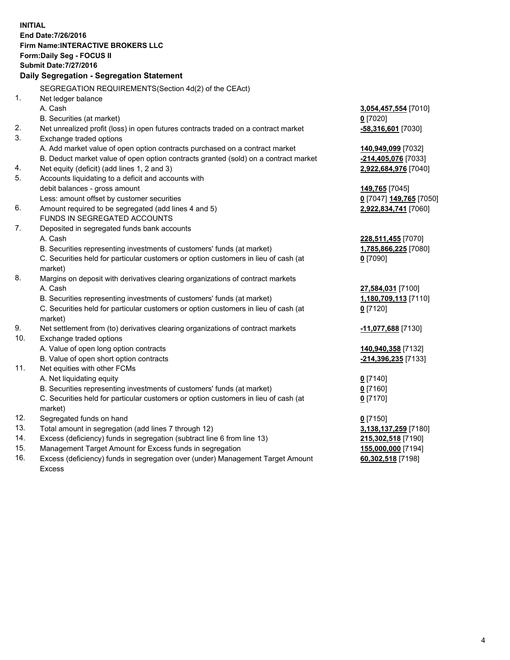**INITIAL End Date:7/26/2016 Firm Name:INTERACTIVE BROKERS LLC Form:Daily Seg - FOCUS II Submit Date:7/27/2016 Daily Segregation - Segregation Statement** SEGREGATION REQUIREMENTS(Section 4d(2) of the CEAct) 1. Net ledger balance A. Cash **3,054,457,554** [7010] B. Securities (at market) **0** [7020] 2. Net unrealized profit (loss) in open futures contracts traded on a contract market **-58,316,601** [7030] 3. Exchange traded options A. Add market value of open option contracts purchased on a contract market **140,949,099** [7032] B. Deduct market value of open option contracts granted (sold) on a contract market **-214,405,076** [7033] 4. Net equity (deficit) (add lines 1, 2 and 3) **2,922,684,976** [7040] 5. Accounts liquidating to a deficit and accounts with debit balances - gross amount **149,765** [7045] Less: amount offset by customer securities **0** [7047] **149,765** [7050] 6. Amount required to be segregated (add lines 4 and 5) **2,922,834,741** [7060] FUNDS IN SEGREGATED ACCOUNTS 7. Deposited in segregated funds bank accounts A. Cash **228,511,455** [7070] B. Securities representing investments of customers' funds (at market) **1,785,866,225** [7080] C. Securities held for particular customers or option customers in lieu of cash (at market) **0** [7090] 8. Margins on deposit with derivatives clearing organizations of contract markets A. Cash **27,584,031** [7100] B. Securities representing investments of customers' funds (at market) **1,180,709,113** [7110] C. Securities held for particular customers or option customers in lieu of cash (at market) **0** [7120] 9. Net settlement from (to) derivatives clearing organizations of contract markets **-11,077,688** [7130] 10. Exchange traded options A. Value of open long option contracts **140,940,358** [7132] B. Value of open short option contracts **-214,396,235** [7133] 11. Net equities with other FCMs A. Net liquidating equity **0** [7140] B. Securities representing investments of customers' funds (at market) **0** [7160] C. Securities held for particular customers or option customers in lieu of cash (at market) **0** [7170] 12. Segregated funds on hand **0** [7150] 13. Total amount in segregation (add lines 7 through 12) **3,138,137,259** [7180] 14. Excess (deficiency) funds in segregation (subtract line 6 from line 13) **215,302,518** [7190] 15. Management Target Amount for Excess funds in segregation **155,000,000** [7194]

16. Excess (deficiency) funds in segregation over (under) Management Target Amount Excess

**60,302,518** [7198]